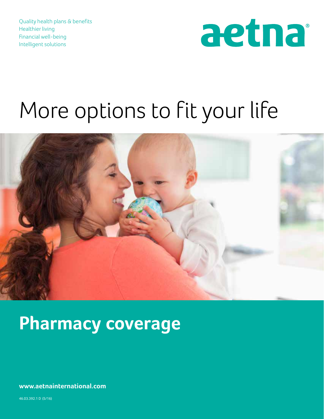Quality health plans & benefits Healthier living Financial well-being Intelligent solutions



# More options to fit your life



## **Pharmacy coverage**

**www.aetnainternational.com**

46.03.392.1 D (5/16)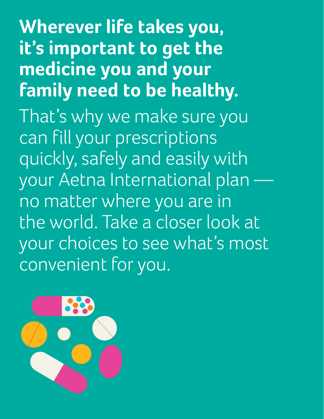**Wherever life takes you, it's important to get the medicine you and your family need to be healthy.** That's why we make sure you can fill your prescriptions quickly, safely and easily with your Aetna International plan no matter where you are in the world. Take a closer look at your choices to see what's most convenient for you.

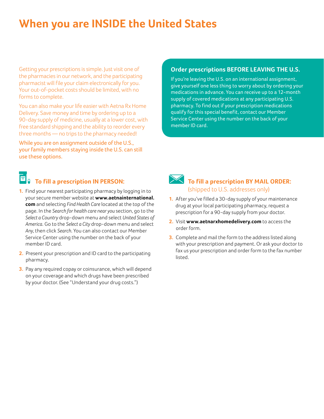### **When you are INSIDE the United States**

Getting your prescriptions is simple. Just visit one of the pharmacies in our network, and the participating pharmacist will file your claim electronically for you. Your out-of-pocket costs should be limited, with no forms to complete.

You can also make your life easier with Aetna Rx Home Delivery. Save money and time by ordering up to a 90-day supply of medicine, usually at a lower cost, with free standard shipping and the ability to reorder every three months — no trips to the pharmacy needed!

While you are on assignment outside of the U.S., your family members staying inside the U.S. can still use these options.

### **To fill a prescription IN PERSON:**

- **1.** Find your nearest participating pharmacy by logging in to your secure member website at **www.aetnainternational. com** and selecting *Find Health Care* located at the top of the page. In the *Search for health care near you* section, go to the *Select a Country* drop-down menu and select *United States of America*. Go to the *Select a City* drop-down menu and select *Any*, then click *Search*. You can also contact our Member Service Center using the number on the back of your member ID card.
- **2.** Present your prescription and ID card to the participating pharmacy.
- **3.** Pay any required copay or coinsurance, which will depend on your coverage and which drugs have been prescribed by your doctor. (See "Understand your drug costs.")

### **Order prescriptions BEFORE LEAVING THE U.S.**

If you're leaving the U.S. on an international assignment, give yourself one less thing to worry about by ordering your medications in advance. You can receive up to a 12-month supply of covered medications at any participating U.S. pharmacy. To find out if your prescription medications qualify for this special benefit, contact our Member Service Center using the number on the back of your member ID card.



### **To fill a prescription BY MAIL ORDER:** (shipped to U.S. addresses only)

- **1.** After you've filled a 30-day supply of your maintenance drug at your local participating pharmacy, request a prescription for a 90-day supply from your doctor.
- **2.** Visit **www.aetnarxhomedelivery.com** to access the order form.
- **3.** Complete and mail the form to the address listed along with your prescription and payment. Or ask your doctor to fax us your prescription and order form to the fax number listed.